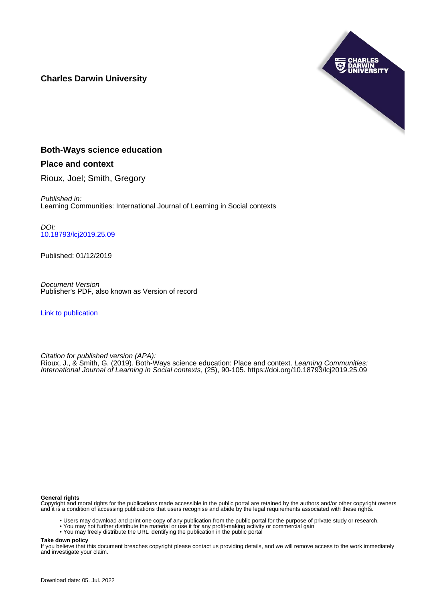## **Charles Darwin University**



## **Both-Ways science education**

## **Place and context**

Rioux, Joel; Smith, Gregory

Published in: Learning Communities: International Journal of Learning in Social contexts

DOI: [10.18793/lcj2019.25.09](https://doi.org/10.18793/lcj2019.25.09)

Published: 01/12/2019

Document Version Publisher's PDF, also known as Version of record

[Link to publication](https://researchers.cdu.edu.au/en/publications/a0a0896a-8c2f-4fe2-8162-bd65d7659c0b)

Citation for published version (APA): Rioux, J., & Smith, G. (2019). Both-Ways science education: Place and context. Learning Communities: International Journal of Learning in Social contexts, (25), 90-105. <https://doi.org/10.18793/lcj2019.25.09>

#### **General rights**

Copyright and moral rights for the publications made accessible in the public portal are retained by the authors and/or other copyright owners and it is a condition of accessing publications that users recognise and abide by the legal requirements associated with these rights.

- Users may download and print one copy of any publication from the public portal for the purpose of private study or research.
- You may not further distribute the material or use it for any profit-making activity or commercial gain
- You may freely distribute the URL identifying the publication in the public portal

**Take down policy**

If you believe that this document breaches copyright please contact us providing details, and we will remove access to the work immediately and investigate your claim.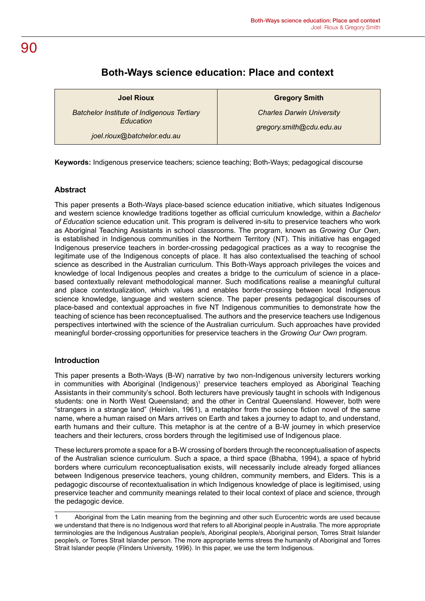## **Both-Ways science education: Place and context**

**Joel Rioux**

*Batchelor Institute of Indigenous Tertiary Education*

*joel.rioux@batchelor.edu.au*

**Gregory Smith**

*Charles Darwin University gregory.smith@cdu.edu.au*

**Keywords:** Indigenous preservice teachers; science teaching; Both-Ways; pedagogical discourse

## **Abstract**

This paper presents a Both-Ways place-based science education initiative, which situates Indigenous and western science knowledge traditions together as official curriculum knowledge, within a *Bachelor of Education* science education unit. This program is delivered in-situ to preservice teachers who work as Aboriginal Teaching Assistants in school classrooms. The program, known as *Growing Our Own*, is established in Indigenous communities in the Northern Territory (NT). This initiative has engaged Indigenous preservice teachers in border-crossing pedagogical practices as a way to recognise the legitimate use of the Indigenous concepts of place. It has also contextualised the teaching of school science as described in the Australian curriculum. This Both-Ways approach privileges the voices and knowledge of local Indigenous peoples and creates a bridge to the curriculum of science in a placebased contextually relevant methodological manner. Such modifications realise a meaningful cultural and place contextualization, which values and enables border-crossing between local Indigenous science knowledge, language and western science. The paper presents pedagogical discourses of place-based and contextual approaches in five NT Indigenous communities to demonstrate how the teaching of science has been reconceptualised. The authors and the preservice teachers use Indigenous perspectives intertwined with the science of the Australian curriculum. Such approaches have provided meaningful border-crossing opportunities for preservice teachers in the *Growing Our Own* program.

## **Introduction**

This paper presents a Both-Ways (B-W) narrative by two non-Indigenous university lecturers working in communities with Aboriginal (Indigenous)<sup>1</sup> preservice teachers employed as Aboriginal Teaching Assistants in their community's school. Both lecturers have previously taught in schools with Indigenous students: one in North West Queensland; and the other in Central Queensland. However, both were "strangers in a strange land" (Heinlein, 1961), a metaphor from the science fiction novel of the same name, where a human raised on Mars arrives on Earth and takes a journey to adapt to, and understand, earth humans and their culture. This metaphor is at the centre of a B-W journey in which preservice teachers and their lecturers, cross borders through the legitimised use of Indigenous place.

These lecturers promote a space for a B-W crossing of borders through the reconceptualisation of aspects of the Australian science curriculum. Such a space, a third space (Bhabha, 1994), a space of hybrid borders where curriculum reconceptualisation exists, will necessarily include already forged alliances between Indigenous preservice teachers, young children, community members, and Elders. This is a pedagogic discourse of recontextualisation in which Indigenous knowledge of place is legitimised, using preservice teacher and community meanings related to their local context of place and science, through the pedagogic device.

## 90

<sup>1</sup> Aboriginal from the Latin meaning from the beginning and other such Eurocentric words are used because we understand that there is no Indigenous word that refers to all Aboriginal people in Australia. The more appropriate terminologies are the Indigenous Australian people/s, Aboriginal people/s, Aboriginal person, Torres Strait Islander people/s, or Torres Strait Islander person. The more appropriate terms stress the humanity of Aboriginal and Torres Strait Islander people (Flinders University, 1996). In this paper, we use the term Indigenous.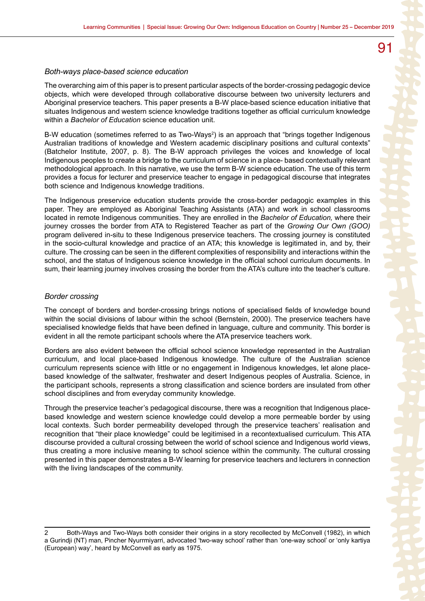#### *Both-ways place-based science education*

The overarching aim of this paper is to present particular aspects of the border-crossing pedagogic device objects, which were developed through collaborative discourse between two university lecturers and Aboriginal preservice teachers. This paper presents a B-W place-based science education initiative that situates Indigenous and western science knowledge traditions together as official curriculum knowledge within a *Bachelor of Education* science education unit.

B-W education (sometimes referred to as Two-Ways<sup>2</sup>) is an approach that "brings together Indigenous Australian traditions of knowledge and Western academic disciplinary positions and cultural contexts" (Batchelor Institute, 2007, p. 8). The B-W approach privileges the voices and knowledge of local Indigenous peoples to create a bridge to the curriculum of science in a place- based contextually relevant methodological approach. In this narrative, we use the term B-W science education. The use of this term provides a focus for lecturer and preservice teacher to engage in pedagogical discourse that integrates both science and Indigenous knowledge traditions.

The Indigenous preservice education students provide the cross-border pedagogic examples in this paper. They are employed as Aboriginal Teaching Assistants (ATA) and work in school classrooms located in remote Indigenous communities. They are enrolled in the *Bachelor of Education,* where their journey crosses the border from ATA to Registered Teacher as part of the *Growing Our Own (GOO)*  program delivered in-situ to these Indigenous preservice teachers. The crossing journey is constituted in the socio-cultural knowledge and practice of an ATA; this knowledge is legitimated in, and by, their culture. The crossing can be seen in the different complexities of responsibility and interactions within the school, and the status of Indigenous science knowledge in the official school curriculum documents. In sum, their learning journey involves crossing the border from the ATA's culture into the teacher's culture.

#### *Border crossing*

The concept of borders and border-crossing brings notions of specialised fields of knowledge bound within the social divisions of labour within the school (Bernstein, 2000). The preservice teachers have specialised knowledge fields that have been defined in language, culture and community. This border is evident in all the remote participant schools where the ATA preservice teachers work.

Borders are also evident between the official school science knowledge represented in the Australian curriculum, and local place-based Indigenous knowledge. The culture of the Australian science curriculum represents science with little or no engagement in Indigenous knowledges, let alone placebased knowledge of the saltwater, freshwater and desert Indigenous peoples of Australia. Science, in the participant schools, represents a strong classification and science borders are insulated from other school disciplines and from everyday community knowledge.

Through the preservice teacher's pedagogical discourse, there was a recognition that Indigenous placebased knowledge and western science knowledge could develop a more permeable border by using local contexts. Such border permeability developed through the preservice teachers' realisation and recognition that "their place knowledge" could be legitimised in a recontextualised curriculum. This ATA discourse provided a cultural crossing between the world of school science and Indigenous world views, thus creating a more inclusive meaning to school science within the community. The cultural crossing presented in this paper demonstrates a B-W learning for preservice teachers and lecturers in connection with the living landscapes of the community.

<sup>2</sup> Both-Ways and Two-Ways both consider their origins in a story recollected by McConvell (1982), in which a Gurindji (NT) man, Pincher Nyurrmiyarri, advocated 'two-way school' rather than 'one-way school' or 'only kartiya (European) way', heard by McConvell as early as 1975.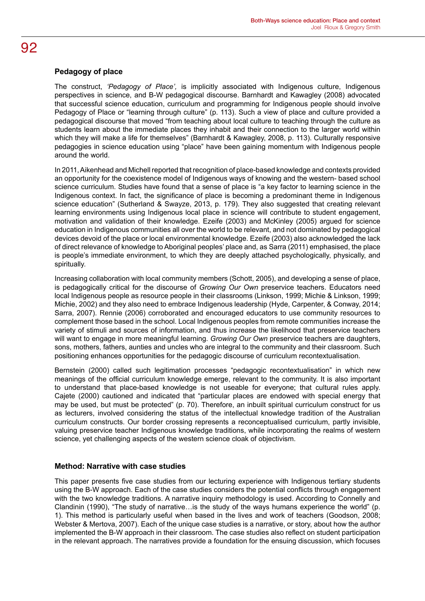## **Pedagogy of place**

The construct, *'Pedagogy of Place',* is implicitly associated with Indigenous culture, Indigenous perspectives in science, and B-W pedagogical discourse. Barnhardt and Kawagley (2008) advocated that successful science education, curriculum and programming for Indigenous people should involve Pedagogy of Place or "learning through culture" (p. 113). Such a view of place and culture provided a pedagogical discourse that moved "from teaching about local culture to teaching through the culture as students learn about the immediate places they inhabit and their connection to the larger world within which they will make a life for themselves" (Barnhardt & Kawagley, 2008, p. 113). Culturally responsive pedagogies in science education using "place" have been gaining momentum with Indigenous people around the world.

In 2011, Aikenhead and Michell reported that recognition of place-based knowledge and contexts provided an opportunity for the coexistence model of Indigenous ways of knowing and the western- based school science curriculum. Studies have found that a sense of place is "a key factor to learning science in the Indigenous context. In fact, the significance of place is becoming a predominant theme in Indigenous science education" (Sutherland & Swayze, 2013, p. 179). They also suggested that creating relevant learning environments using Indigenous local place in science will contribute to student engagement, motivation and validation of their knowledge. Ezeife (2003) and McKinley (2005) argued for science education in Indigenous communities all over the world to be relevant, and not dominated by pedagogical devices devoid of the place or local environmental knowledge. Ezeife (2003) also acknowledged the lack of direct relevance of knowledge to Aboriginal peoples' place and, as Sarra (2011) emphasised, the place is people's immediate environment, to which they are deeply attached psychologically, physically, and spiritually.

Increasing collaboration with local community members (Schott, 2005), and developing a sense of place, is pedagogically critical for the discourse of *Growing Our Own* preservice teachers. Educators need local Indigenous people as resource people in their classrooms (Linkson, 1999; Michie & Linkson, 1999; Michie, 2002) and they also need to embrace Indigenous leadership (Hyde, Carpenter, & Conway, 2014; Sarra, 2007). Rennie (2006) corroborated and encouraged educators to use community resources to complement those based in the school. Local Indigenous peoples from remote communities increase the variety of stimuli and sources of information, and thus increase the likelihood that preservice teachers will want to engage in more meaningful learning. *Growing Our Own* preservice teachers are daughters, sons, mothers, fathers, aunties and uncles who are integral to the community and their classroom. Such positioning enhances opportunities for the pedagogic discourse of curriculum recontextualisation.

Bernstein (2000) called such legitimation processes "pedagogic recontextualisation" in which new meanings of the official curriculum knowledge emerge, relevant to the community. It is also important to understand that place-based knowledge is not useable for everyone; that cultural rules apply. Cajete (2000) cautioned and indicated that "particular places are endowed with special energy that may be used, but must be protected" (p. 70). Therefore, an inbuilt spiritual curriculum construct for us as lecturers, involved considering the status of the intellectual knowledge tradition of the Australian curriculum constructs. Our border crossing represents a reconceptualised curriculum, partly invisible, valuing preservice teacher Indigenous knowledge traditions, while incorporating the realms of western science, yet challenging aspects of the western science cloak of objectivism.

## **Method: Narrative with case studies**

This paper presents five case studies from our lecturing experience with Indigenous tertiary students using the B-W approach. Each of the case studies considers the potential conflicts through engagement with the two knowledge traditions. A narrative inquiry methodology is used. According to Connelly and Clandinin (1990), "The study of narrative…is the study of the ways humans experience the world" (p. 1). This method is particularly useful when based in the lives and work of teachers (Goodson, 2008; Webster & Mertova, 2007). Each of the unique case studies is a narrative, or story, about how the author implemented the B-W approach in their classroom. The case studies also reflect on student participation in the relevant approach. The narratives provide a foundation for the ensuing discussion, which focuses

## 92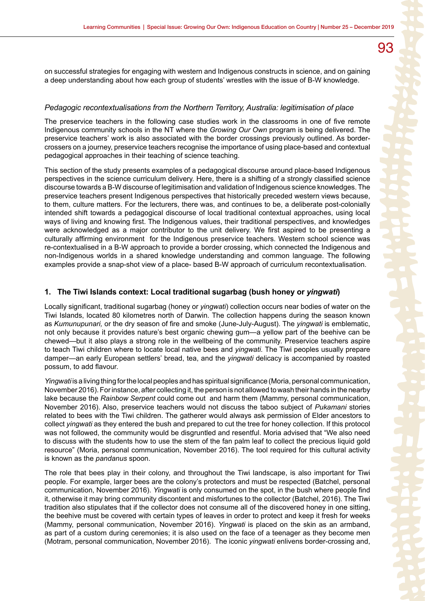on successful strategies for engaging with western and Indigenous constructs in science, and on gaining

#### *Pedagogic recontextualisations from the Northern Territory, Australia: legitimisation of place*

a deep understanding about how each group of students' wrestles with the issue of B-W knowledge.

The preservice teachers in the following case studies work in the classrooms in one of five remote Indigenous community schools in the NT where the *Growing Our Own* program is being delivered. The preservice teachers' work is also associated with the border crossings previously outlined. As bordercrossers on a journey, preservice teachers recognise the importance of using place-based and contextual pedagogical approaches in their teaching of science teaching.

This section of the study presents examples of a pedagogical discourse around place-based Indigenous perspectives in the science curriculum delivery. Here, there is a shifting of a strongly classified science discourse towards a B-W discourse of legitimisation and validation of Indigenous science knowledges. The preservice teachers present Indigenous perspectives that historically preceded western views because, to them, culture matters. For the lecturers, there was, and continues to be, a deliberate post-colonially intended shift towards a pedagogical discourse of local traditional contextual approaches, using local ways of living and knowing first. The Indigenous values, their traditional perspectives, and knowledges were acknowledged as a major contributor to the unit delivery. We first aspired to be presenting a culturally affirming environment for the Indigenous preservice teachers. Western school science was re-contextualised in a B-W approach to provide a border crossing, which connected the Indigenous and non-Indigenous worlds in a shared knowledge understanding and common language. The following examples provide a snap-shot view of a place- based B-W approach of curriculum recontextualisation.

#### **1. The Tiwi Islands context: Local traditional sugarbag (bush honey or** *yingwati***)**

Locally significant, traditional sugarbag (honey or *yingwati*) collection occurs near bodies of water on the Tiwi Islands, located 80 kilometres north of Darwin. The collection happens during the season known as *Kumunupunari,* or the dry season of fire and smoke (June-July-August). The *yingwati* is emblematic, not only because it provides nature's best organic chewing gum—a yellow part of the beehive can be chewed—but it also plays a strong role in the wellbeing of the community. Preservice teachers aspire to teach Tiwi children where to locate local native bees and *yingwati.* The Tiwi peoples usually prepare damper—an early European settlers' bread, tea, and the *yingwati* delicacy is accompanied by roasted possum, to add flavour.

*Yingwati* is a living thing for the local peoples and has spiritual significance (Moria, personal communication, November 2016). For instance, after collecting it, the person is not allowed to wash their hands in the nearby lake because the *Rainbow Serpent* could come out and harm them (Mammy, personal communication, November 2016). Also, preservice teachers would not discuss the taboo subject of *Pukamani* stories related to bees with the Tiwi children. The gatherer would always ask permission of Elder ancestors to collect *yingwati* as they entered the bush and prepared to cut the tree for honey collection. If this protocol was not followed, the community would be disgruntled and resentful. Moria advised that "We also need to discuss with the students how to use the stem of the fan palm leaf to collect the precious liquid gold resource" (Moria, personal communication, November 2016). The tool required for this cultural activity is known as the *pandanus* spoon.

The role that bees play in their colony, and throughout the Tiwi landscape, is also important for Tiwi people. For example, larger bees are the colony's protectors and must be respected (Batchel, personal communication, November 2016). *Yingwati* is only consumed on the spot, in the bush where people find it, otherwise it may bring community discontent and misfortunes to the collector (Batchel, 2016). The Tiwi tradition also stipulates that if the collector does not consume all of the discovered honey in one sitting, the beehive must be covered with certain types of leaves in order to protect and keep it fresh for weeks (Mammy, personal communication, November 2016). *Yingwati* is placed on the skin as an armband, as part of a custom during ceremonies; it is also used on the face of a teenager as they become men (Motram, personal communication, November 2016). The iconic *yingwati* enlivens border-crossing and,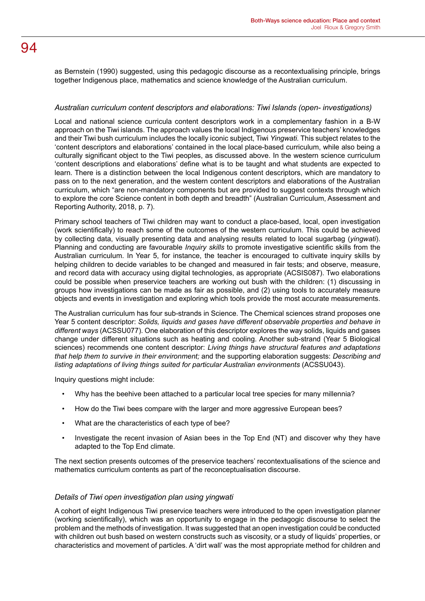as Bernstein (1990) suggested, using this pedagogic discourse as a recontextualising principle, brings together Indigenous place, mathematics and science knowledge of the Australian curriculum.

## *Australian curriculum content descriptors and elaborations: Tiwi Islands (open- investigations)*

Local and national science curricula content descriptors work in a complementary fashion in a B-W approach on the Tiwi islands. The approach values the local Indigenous preservice teachers' knowledges and their Tiwi bush curriculum includes the locally iconic subject, Tiwi *Yingwati.* This subject relates to the 'content descriptors and elaborations' contained in the local place-based curriculum, while also being a culturally significant object to the Tiwi peoples, as discussed above. In the western science curriculum 'content descriptions and elaborations' define what is to be taught and what students are expected to learn. There is a distinction between the local Indigenous content descriptors, which are mandatory to pass on to the next generation, and the western content descriptors and elaborations of the Australian curriculum, which "are non-mandatory components but are provided to suggest contexts through which to explore the core Science content in both depth and breadth" (Australian Curriculum, Assessment and Reporting Authority, 2018, p. 7).

Primary school teachers of Tiwi children may want to conduct a place-based, local, open investigation (work scientifically) to reach some of the outcomes of the western curriculum. This could be achieved by collecting data, visually presenting data and analysing results related to local sugarbag (*yingwati*). Planning and conducting are favourable *Inquiry skills* to promote investigative scientific skills from the Australian curriculum. In Year 5, for instance, the teacher is encouraged to cultivate inquiry skills by helping children to decide variables to be changed and measured in fair tests; and observe, measure, and record data with accuracy using digital technologies, as appropriate (ACSIS087). Two elaborations could be possible when preservice teachers are working out bush with the children: (1) discussing in groups how investigations can be made as fair as possible, and (2) using tools to accurately measure objects and events in investigation and exploring which tools provide the most accurate measurements.

The Australian curriculum has four sub-strands in Science. The Chemical sciences strand proposes one Year 5 content descriptor: *Solids, liquids and gases have different observable properties and behave in different ways* (ACSSU077). One elaboration of this descriptor explores the way solids, liquids and gases change under different situations such as heating and cooling. Another sub-strand (Year 5 Biological sciences) recommends one content descriptor: *Living things have structural features and adaptations that help them to survive in their environment;* and the supporting elaboration suggests: *Describing and listing adaptations of living things suited for particular Australian environments* (ACSSU043).

Inquiry questions might include:

- Why has the beehive been attached to a particular local tree species for many millennia?
- How do the Tiwi bees compare with the larger and more aggressive European bees?
- What are the characteristics of each type of bee?
- Investigate the recent invasion of Asian bees in the Top End (NT) and discover why they have adapted to the Top End climate.

The next section presents outcomes of the preservice teachers' recontextualisations of the science and mathematics curriculum contents as part of the reconceptualisation discourse.

## *Details of Tiwi open investigation plan using yingwati*

A cohort of eight Indigenous Tiwi preservice teachers were introduced to the open investigation planner (working scientifically), which was an opportunity to engage in the pedagogic discourse to select the problem and the methods of investigation. It was suggested that an open investigation could be conducted with children out bush based on western constructs such as viscosity, or a study of liquids' properties, or characteristics and movement of particles. A 'dirt wall' was the most appropriate method for children and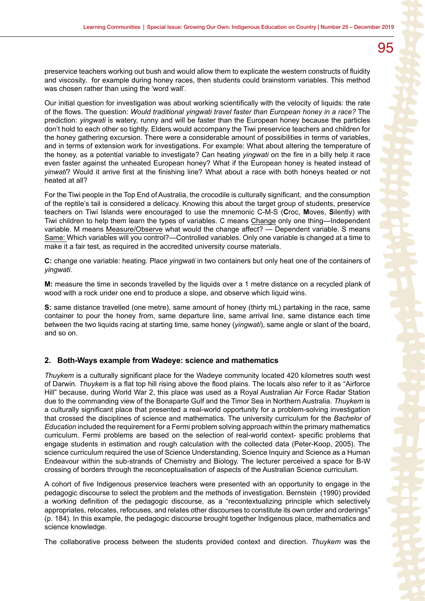preservice teachers working out bush and would allow them to explicate the western constructs of fluidity and viscosity, for example during honey races, then students could brainstorm variables. This method was chosen rather than using the 'word wall'.

Our initial question for investigation was about working scientifically with the velocity of liquids: the rate of the flows. The question: *Would traditional yingwati travel faster than European honey in a race?* The prediction: *yingwati* is watery, runny and will be faster than the European honey because the particles don't hold to each other so tightly. Elders would accompany the Tiwi preservice teachers and children for the honey gathering excursion. There were a considerable amount of possibilities in terms of variables, and in terms of extension work for investigations. For example: What about altering the temperature of the honey, as a potential variable to investigate? Can heating *yingwati* on the fire in a billy help it race even faster against the unheated European honey? What if the European honey is heated instead of *yinwati*? Would it arrive first at the finishing line? What about a race with both honeys heated or not heated at all?

For the Tiwi people in the Top End of Australia, the crocodile is culturally significant, and the consumption of the reptile's tail is considered a delicacy. Knowing this about the target group of students, preservice teachers on Tiwi Islands were encouraged to use the mnemonic C-M-S (**C**roc, **M**oves, **S**ilently) with Tiwi children to help them learn the types of variables. C means Change only one thing—Independent variable. M means Measure/Observe what would the change affect? — Dependent variable. S means Same: Which variables will you control?—Controlled variables. Only one variable is changed at a time to make it a fair test, as required in the accredited university course materials.

**C:** change one variable: heating. Place *yingwati* in two containers but only heat one of the containers of *yingwati*.

**M:** measure the time in seconds travelled by the liquids over a 1 metre distance on a recycled plank of wood with a rock under one end to produce a slope, and observe which liquid wins.

**S:** same distance travelled (one metre), same amount of honey (thirty mL) partaking in the race, same container to pour the honey from, same departure line, same arrival line, same distance each time between the two liquids racing at starting time, same honey (*yingwati*), same angle or slant of the board, and so on.

#### **2. Both-Ways example from Wadeye: science and mathematics**

*Thuykem* is a culturally significant place for the Wadeye community located 420 kilometres south west of Darwin. *Thuykem* is a flat top hill rising above the flood plains. The locals also refer to it as "Airforce Hill" because, during World War 2, this place was used as a Royal Australian Air Force Radar Station due to the commanding view of the Bonaparte Gulf and the Timor Sea in Northern Australia. *Thuykem* is a culturally significant place that presented a real-world opportunity for a problem-solving investigation that crossed the disciplines of science and mathematics. The university curriculum for the *Bachelor of Education* included the requirement for a Fermi problem solving approach within the primary mathematics curriculum. Fermi problems are based on the selection of real-world context- specific problems that engage students in estimation and rough calculation with the collected data (Peter-Koop, 2005). The science curriculum required the use of Science Understanding, Science Inquiry and Science as a Human Endeavour within the sub-strands of Chemistry and Biology. The lecturer perceived a space for B-W crossing of borders through the reconceptualisation of aspects of the Australian Science curriculum.

A cohort of five Indigenous preservice teachers were presented with an opportunity to engage in the pedagogic discourse to select the problem and the methods of investigation. Bernstein (1990) provided a working definition of the pedagogic discourse, as a "recontextualizing principle which selectively appropriates, relocates, refocuses, and relates other discourses to constitute its own order and orderings" (p. 184). In this example, the pedagogic discourse brought together Indigenous place, mathematics and science knowledge.

The collaborative process between the students provided context and direction. *Thuykem* was the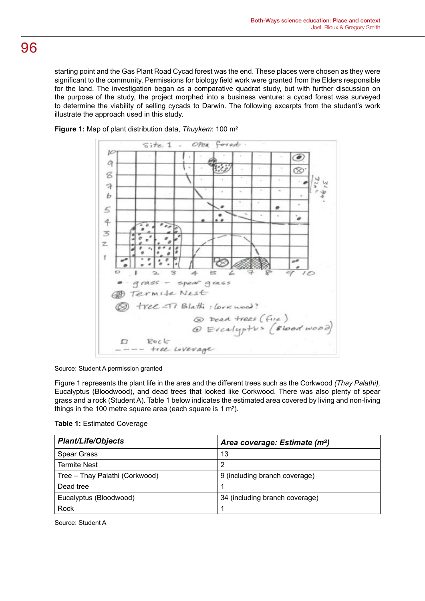starting point and the Gas Plant Road Cycad forest was the end. These places were chosen as they were significant to the community. Permissions for biology field work were granted from the Elders responsible for the land. The investigation began as a comparative quadrat study, but with further discussion on the purpose of the study, the project morphed into a business venture: a cycad forest was surveyed to determine the viability of selling cycads to Darwin. The following excerpts from the student's work illustrate the approach used in this study.



**Figure 1:** Map of plant distribution data, *Thuykem*: 100 m²

Source: Student A permission granted

Figure 1 represents the plant life in the area and the different trees such as the Corkwood *(Thay Palathi),* Eucalyptus (Bloodwood), and dead trees that looked like Corkwood. There was also plenty of spear grass and a rock (Student A). Table 1 below indicates the estimated area covered by living and non-living things in the 100 metre square area (each square is 1 m²).

| <b>Table 1: Estimated Coverage</b> |  |
|------------------------------------|--|
|------------------------------------|--|

| <b>Plant/Life/Objects</b>      | Area coverage: Estimate (m <sup>2</sup> ) |
|--------------------------------|-------------------------------------------|
| <b>Spear Grass</b>             | 13                                        |
| <b>Termite Nest</b>            | 2                                         |
| Tree - Thay Palathi (Corkwood) | 9 (including branch coverage)             |
| Dead tree                      |                                           |
| Eucalyptus (Bloodwood)         | 34 (including branch coverage)            |
| Rock                           |                                           |

Source: Student A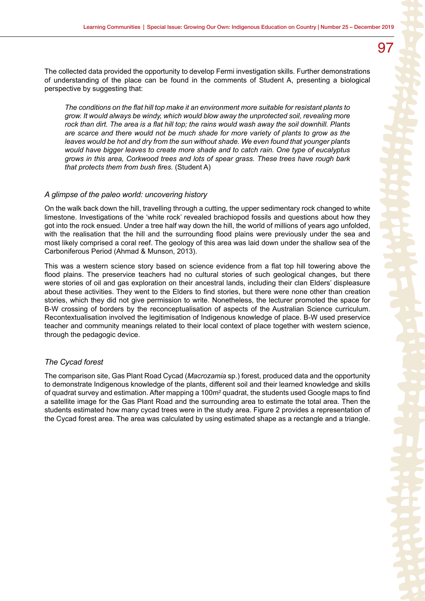The collected data provided the opportunity to develop Fermi investigation skills. Further demonstrations of understanding of the place can be found in the comments of Student A, presenting a biological perspective by suggesting that:

*The conditions on the flat hill top make it an environment more suitable for resistant plants to grow. It would always be windy, which would blow away the unprotected soil, revealing more rock than dirt. The area is a flat hill top; the rains would wash away the soil downhill. Plants are scarce and there would not be much shade for more variety of plants to grow as the leaves would be hot and dry from the sun without shade. We even found that younger plants would have bigger leaves to create more shade and to catch rain. One type of eucalyptus grows in this area, Corkwood trees and lots of spear grass. These trees have rough bark that protects them from bush fires.* (Student A)

#### *A glimpse of the paleo world: uncovering history*

On the walk back down the hill, travelling through a cutting, the upper sedimentary rock changed to white limestone. Investigations of the 'white rock' revealed brachiopod fossils and questions about how they got into the rock ensued. Under a tree half way down the hill, the world of millions of years ago unfolded, with the realisation that the hill and the surrounding flood plains were previously under the sea and most likely comprised a coral reef. The geology of this area was laid down under the shallow sea of the Carboniferous Period (Ahmad & Munson, 2013).

This was a western science story based on science evidence from a flat top hill towering above the flood plains. The preservice teachers had no cultural stories of such geological changes, but there were stories of oil and gas exploration on their ancestral lands, including their clan Elders' displeasure about these activities. They went to the Elders to find stories, but there were none other than creation stories, which they did not give permission to write. Nonetheless, the lecturer promoted the space for B-W crossing of borders by the reconceptualisation of aspects of the Australian Science curriculum. Recontextualisation involved the legitimisation of Indigenous knowledge of place. B-W used preservice teacher and community meanings related to their local context of place together with western science, through the pedagogic device.

#### *The Cycad forest*

The comparison site, Gas Plant Road Cycad (*Macrozamia* sp.) forest, produced data and the opportunity to demonstrate Indigenous knowledge of the plants, different soil and their learned knowledge and skills of quadrat survey and estimation. After mapping a 100m² quadrat, the students used Google maps to find a satellite image for the Gas Plant Road and the surrounding area to estimate the total area. Then the students estimated how many cycad trees were in the study area. Figure 2 provides a representation of the Cycad forest area. The area was calculated by using estimated shape as a rectangle and a triangle.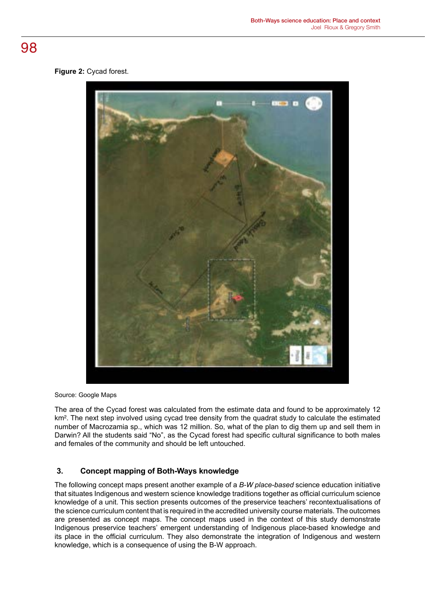## **Figure 2:** Cycad forest.



Source: Google Maps

The area of the Cycad forest was calculated from the estimate data and found to be approximately 12 km<sup>2</sup>. The next step involved using cycad tree density from the quadrat study to calculate the estimated number of Macrozamia sp., which was 12 million. So, what of the plan to dig them up and sell them in Darwin? All the students said "No", as the Cycad forest had specific cultural significance to both males and females of the community and should be left untouched.

## **3. Concept mapping of Both-Ways knowledge**

The following concept maps present another example of a *B-W place-based* science education initiative that situates Indigenous and western science knowledge traditions together as official curriculum science knowledge of a unit. This section presents outcomes of the preservice teachers' recontextualisations of the science curriculum content that is required in the accredited university course materials. The outcomes are presented as concept maps. The concept maps used in the context of this study demonstrate Indigenous preservice teachers' emergent understanding of Indigenous place-based knowledge and its place in the official curriculum. They also demonstrate the integration of Indigenous and western knowledge, which is a consequence of using the B-W approach.

## 98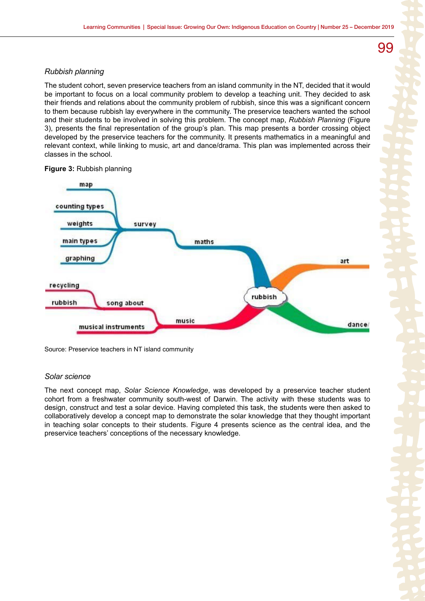## *Rubbish planning*

The student cohort, seven preservice teachers from an island community in the NT, decided that it would be important to focus on a local community problem to develop a teaching unit. They decided to ask their friends and relations about the community problem of rubbish, since this was a significant concern to them because rubbish lay everywhere in the community. The preservice teachers wanted the school and their students to be involved in solving this problem. The concept map, *Rubbish Planning* (Figure 3), presents the final representation of the group's plan. This map presents a border crossing object developed by the preservice teachers for the community. It presents mathematics in a meaningful and relevant context, while linking to music, art and dance/drama. This plan was implemented across their classes in the school.



### **Figure 3:** Rubbish planning

Source: Preservice teachers in NT island community

## *Solar science*

The next concept map, *Solar Science Knowledge*, was developed by a preservice teacher student cohort from a freshwater community south-west of Darwin. The activity with these students was to design, construct and test a solar device. Having completed this task, the students were then asked to collaboratively develop a concept map to demonstrate the solar knowledge that they thought important in teaching solar concepts to their students. Figure 4 presents science as the central idea, and the preservice teachers' conceptions of the necessary knowledge.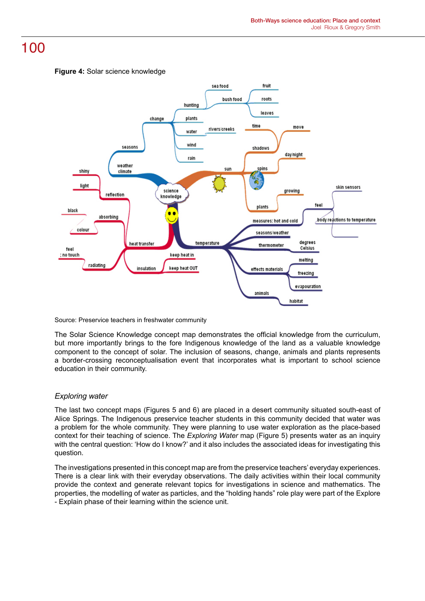



Source: Preservice teachers in freshwater community

The Solar Science Knowledge concept map demonstrates the official knowledge from the curriculum, but more importantly brings to the fore Indigenous knowledge of the land as a valuable knowledge component to the concept of solar. The inclusion of seasons, change, animals and plants represents a border-crossing reconceptualisation event that incorporates what is important to school science education in their community.

## *Exploring water*

The last two concept maps (Figures 5 and 6) are placed in a desert community situated south-east of Alice Springs. The Indigenous preservice teacher students in this community decided that water was a problem for the whole community. They were planning to use water exploration as the place-based context for their teaching of science. The *Exploring Water* map (Figure 5) presents water as an inquiry with the central question: 'How do I know?' and it also includes the associated ideas for investigating this question.

The investigations presented in this concept map are from the preservice teachers' everyday experiences. There is a clear link with their everyday observations. The daily activities within their local community provide the context and generate relevant topics for investigations in science and mathematics. The properties, the modelling of water as particles, and the "holding hands" role play were part of the Explore - Explain phase of their learning within the science unit.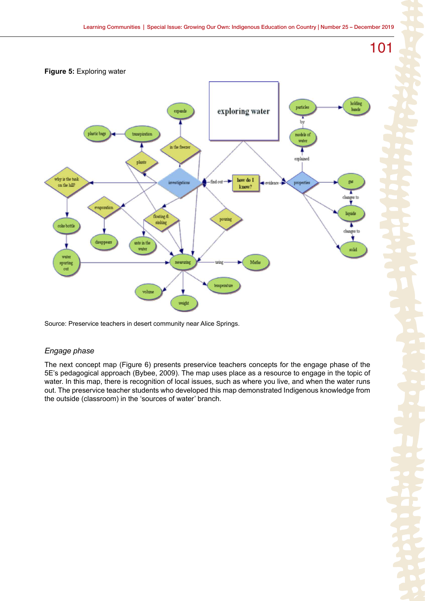



Source: Preservice teachers in desert community near Alice Springs.

## *Engage phase*

The next concept map (Figure 6) presents preservice teachers concepts for the engage phase of the 5E's pedagogical approach (Bybee, 2009). The map uses place as a resource to engage in the topic of water. In this map, there is recognition of local issues, such as where you live, and when the water runs out. The preservice teacher students who developed this map demonstrated Indigenous knowledge from the outside (classroom) in the 'sources of water' branch.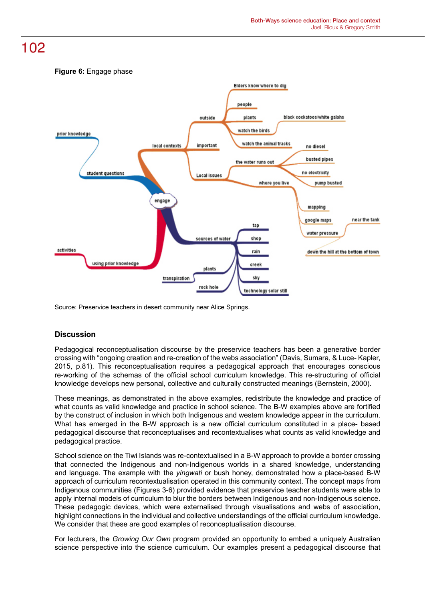

Source: Preservice teachers in desert community near Alice Springs.

## **Discussion**

Pedagogical reconceptualisation discourse by the preservice teachers has been a generative border crossing with "ongoing creation and re-creation of the webs association" (Davis, Sumara, & Luce- Kapler, 2015, p.81). This reconceptualisation requires a pedagogical approach that encourages conscious re-working of the schemas of the official school curriculum knowledge. This re-structuring of official knowledge develops new personal, collective and culturally constructed meanings (Bernstein, 2000).

These meanings, as demonstrated in the above examples, redistribute the knowledge and practice of what counts as valid knowledge and practice in school science. The B-W examples above are fortified by the construct of inclusion in which both Indigenous and western knowledge appear in the curriculum. What has emerged in the B-W approach is a new official curriculum constituted in a place- based pedagogical discourse that reconceptualises and recontextualises what counts as valid knowledge and pedagogical practice.

School science on the Tiwi Islands was re-contextualised in a B-W approach to provide a border crossing that connected the Indigenous and non-Indigenous worlds in a shared knowledge, understanding and language. The example with the *yingwati* or bush honey, demonstrated how a place-based B-W approach of curriculum recontextualisation operated in this community context. The concept maps from Indigenous communities (Figures 3-6) provided evidence that preservice teacher students were able to apply internal models of curriculum to blur the borders between Indigenous and non-Indigenous science. These pedagogic devices, which were externalised through visualisations and webs of association, highlight connections in the individual and collective understandings of the official curriculum knowledge. We consider that these are good examples of reconceptualisation discourse.

For lecturers, the *Growing Our Own* program provided an opportunity to embed a uniquely Australian science perspective into the science curriculum. Our examples present a pedagogical discourse that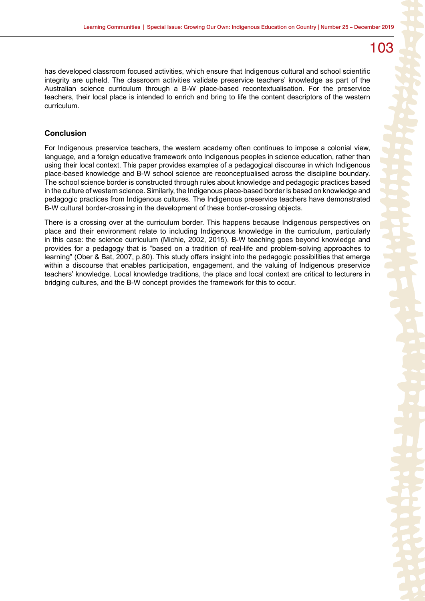has developed classroom focused activities, which ensure that Indigenous cultural and school scientific integrity are upheld. The classroom activities validate preservice teachers' knowledge as part of the Australian science curriculum through a B-W place-based recontextualisation. For the preservice teachers, their local place is intended to enrich and bring to life the content descriptors of the western curriculum.

## **Conclusion**

For Indigenous preservice teachers, the western academy often continues to impose a colonial view, language, and a foreign educative framework onto Indigenous peoples in science education, rather than using their local context. This paper provides examples of a pedagogical discourse in which Indigenous place-based knowledge and B-W school science are reconceptualised across the discipline boundary. The school science border is constructed through rules about knowledge and pedagogic practices based in the culture of western science. Similarly, the Indigenous place-based border is based on knowledge and pedagogic practices from Indigenous cultures. The Indigenous preservice teachers have demonstrated B-W cultural border-crossing in the development of these border-crossing objects.

There is a crossing over at the curriculum border. This happens because Indigenous perspectives on place and their environment relate to including Indigenous knowledge in the curriculum, particularly in this case: the science curriculum (Michie, 2002, 2015). B-W teaching goes beyond knowledge and provides for a pedagogy that is "based on a tradition of real-life and problem-solving approaches to learning" (Ober & Bat, 2007, p.80). This study offers insight into the pedagogic possibilities that emerge within a discourse that enables participation, engagement, and the valuing of Indigenous preservice teachers' knowledge. Local knowledge traditions, the place and local context are critical to lecturers in bridging cultures, and the B-W concept provides the framework for this to occur.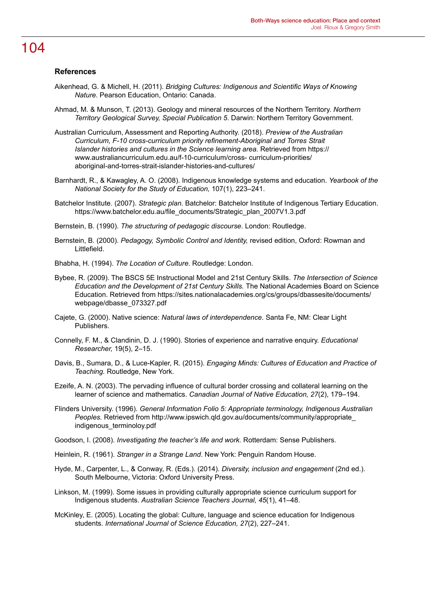## **References**

- Aikenhead, G. & Michell, H. (2011). *Bridging Cultures: Indigenous and Scientific Ways of Knowing Nature.* Pearson Education, Ontario: Canada.
- Ahmad, M. & Munson, T. (2013). Geology and mineral resources of the Northern Territory. *Northern Territory Geological Survey, Special Publication 5*. Darwin: Northern Territory Government.
- Australian Curriculum, Assessment and Reporting Authority. (2018). *Preview of the Australian Curriculum, F-10 cross-curriculum priority refinement-Aboriginal and Torres Strait Islander histories and cultures in the Science learning area.* Retrieved from https:// www.australiancurriculum.edu.au/f-10-curriculum/cross- curriculum-priorities/ aboriginal-and-torres-strait-islander-histories-and-cultures/
- Barnhardt, R., & Kawagley, A. O. (2008). Indigenous knowledge systems and education. *Yearbook of the National Society for the Study of Education,* 107(1), 223–241.
- Batchelor Institute. (2007). *Strategic plan.* Batchelor: Batchelor Institute of Indigenous Tertiary Education. https://www.batchelor.edu.au/file\_documents/Strategic\_plan\_2007V1.3.pdf

Bernstein, B. (1990). *The structuring of pedagogic discourse*. London: Routledge.

- Bernstein, B. (2000). *Pedagogy, Symbolic Control and Identity,* revised edition, Oxford: Rowman and Littlefield.
- Bhabha, H. (1994). *The Location of Culture*. Routledge: London.
- Bybee, R. (2009). The BSCS 5E Instructional Model and 21st Century Skills. *The Intersection of Science Education and the Development of 21st Century Skills.* The National Academies Board on Science Education. Retrieved from https://sites.nationalacademies.org/cs/groups/dbassesite/documents/ webpage/dbasse\_073327.pdf
- Cajete, G. (2000). Native science: *Natural laws of interdependence*. Santa Fe, NM: Clear Light Publishers.
- Connelly, F. M., & Clandinin, D. J. (1990). Stories of experience and narrative enquiry. *Educational Researcher,* 19(5), 2–15.
- Davis, B., Sumara, D., & Luce-Kapler, R. (2015). *Engaging Minds: Cultures of Education and Practice of Teaching.* Routledge, New York.
- Ezeife, A. N. (2003). The pervading influence of cultural border crossing and collateral learning on the learner of science and mathematics. *Canadian Journal of Native Education, 27*(2), 179–194.
- Flinders University. (1996). *General Information Folio 5: Appropriate terminology, Indigenous Australian Peoples.* Retrieved from http://www.ipswich.qld.gov.au/documents/community/appropriate\_ indigenous\_terminoloy.pdf
- Goodson, I. (2008). *Investigating the teacher's life and work.* Rotterdam: Sense Publishers.
- Heinlein, R. (1961). *Stranger in a Strange Land*. New York: Penguin Random House.
- Hyde, M., Carpenter, L., & Conway, R. (Eds.). (2014). *Diversity, inclusion and engagement* (2nd ed.). South Melbourne, Victoria: Oxford University Press.
- Linkson, M. (1999). Some issues in providing culturally appropriate science curriculum support for Indigenous students. *Australian Science Teachers Journal, 45*(1), 41–48.
- McKinley, E. (2005). Locating the global: Culture, language and science education for Indigenous students. *International Journal of Science Education, 27*(2), 227–241.